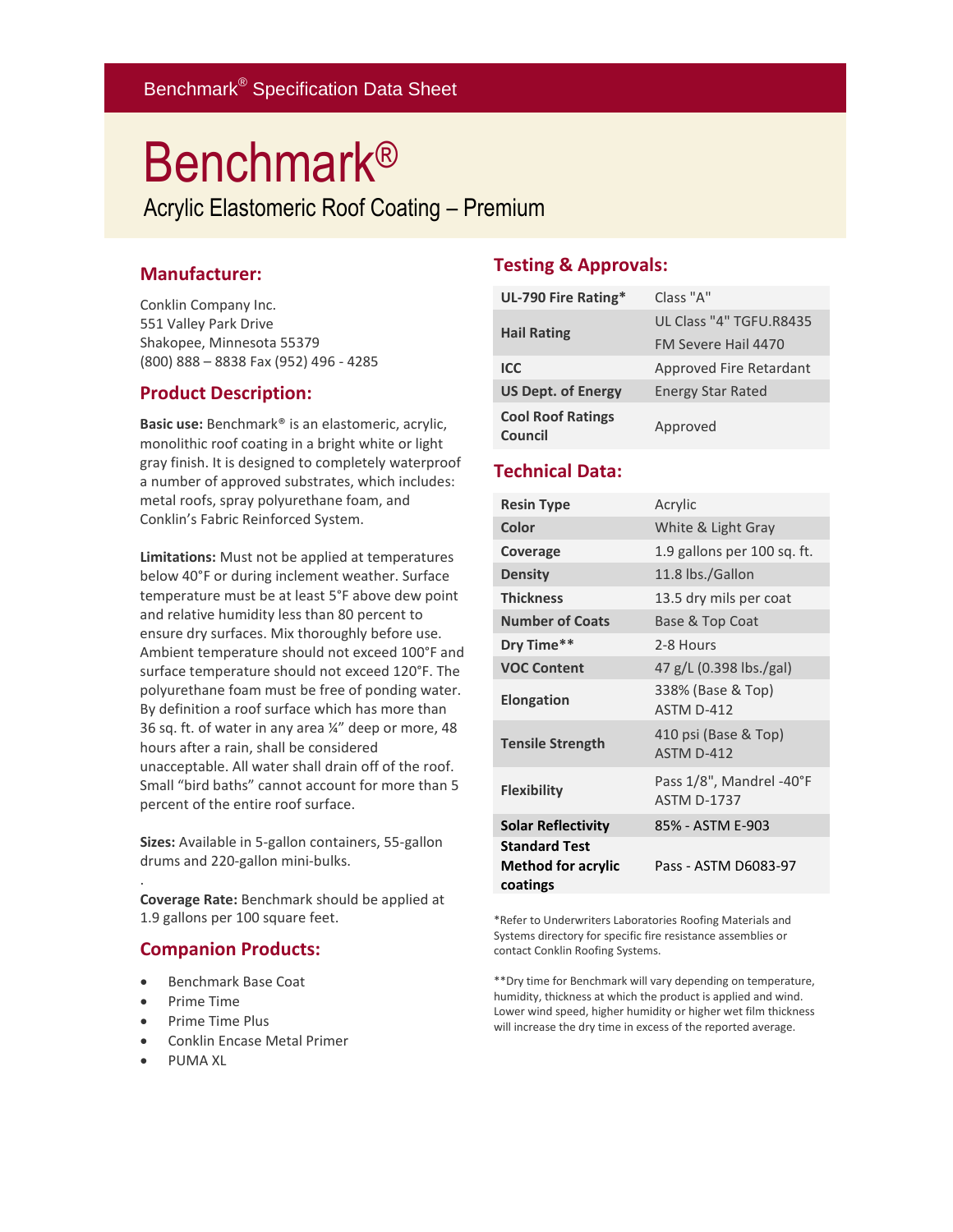# Benchmark®

Acrylic Elastomeric Roof Coating – Premium

### **Manufacturer:**

Conklin Company Inc. 551 Valley Park Drive Shakopee, Minnesota 55379 (800) 888 – 8838 Fax (952) 496 - 4285

### **Product Description:**

**Basic use:** Benchmark® is an elastomeric, acrylic, monolithic roof coating in a bright white or light gray finish. It is designed to completely waterproof a number of approved substrates, which includes: metal roofs, spray polyurethane foam, and Conklin's Fabric Reinforced System.

**Limitations:** Must not be applied at temperatures below 40°F or during inclement weather. Surface temperature must be at least 5°F above dew point and relative humidity less than 80 percent to ensure dry surfaces. Mix thoroughly before use. Ambient temperature should not exceed 100°F and surface temperature should not exceed 120°F. The polyurethane foam must be free of ponding water. By definition a roof surface which has more than 36 sq. ft. of water in any area ¼" deep or more, 48 hours after a rain, shall be considered unacceptable. All water shall drain off of the roof. Small "bird baths" cannot account for more than 5 percent of the entire roof surface.

**Sizes:** Available in 5-gallon containers, 55-gallon drums and 220-gallon mini-bulks.

**Coverage Rate:** Benchmark should be applied at 1.9 gallons per 100 square feet.

### **Companion Products:**

- Benchmark Base Coat
- Prime Time

.

- Prime Time Plus
- Conklin Encase Metal Primer
- PUMA XL

### **Testing & Approvals:**

| UL-790 Fire Rating*                 | Class "A"                |
|-------------------------------------|--------------------------|
| <b>Hail Rating</b>                  | UL Class "4" TGFU.R8435  |
|                                     | FM Severe Hail 4470      |
| ICC                                 | Approved Fire Retardant  |
| <b>US Dept. of Energy</b>           | <b>Energy Star Rated</b> |
| <b>Cool Roof Ratings</b><br>Council | Approved                 |

### **Technical Data:**

| <b>Resin Type</b>                                             | Acrylic                                        |
|---------------------------------------------------------------|------------------------------------------------|
| Color                                                         | White & Light Gray                             |
| Coverage                                                      | 1.9 gallons per 100 sq. ft.                    |
| <b>Density</b>                                                | 11.8 lbs./Gallon                               |
| <b>Thickness</b>                                              | 13.5 dry mils per coat                         |
| <b>Number of Coats</b>                                        | Base & Top Coat                                |
| Dry Time**                                                    | 2-8 Hours                                      |
| <b>VOC Content</b>                                            | 47 g/L (0.398 lbs./gal)                        |
| <b>Elongation</b>                                             | 338% (Base & Top)<br>ASTM D-412                |
| <b>Tensile Strength</b>                                       | 410 psi (Base & Top)<br>ASTM D-412             |
| <b>Flexibility</b>                                            | Pass 1/8", Mandrel -40°F<br><b>ASTM D-1737</b> |
| <b>Solar Reflectivity</b>                                     | 85% - ASTM E-903                               |
| <b>Standard Test</b><br><b>Method for acrylic</b><br>coatings | Pass - ASTM D6083-97                           |

\*Refer to Underwriters Laboratories Roofing Materials and Systems directory for specific fire resistance assemblies or contact Conklin Roofing Systems.

\*\*Dry time for Benchmark will vary depending on temperature, humidity, thickness at which the product is applied and wind. Lower wind speed, higher humidity or higher wet film thickness will increase the dry time in excess of the reported average.